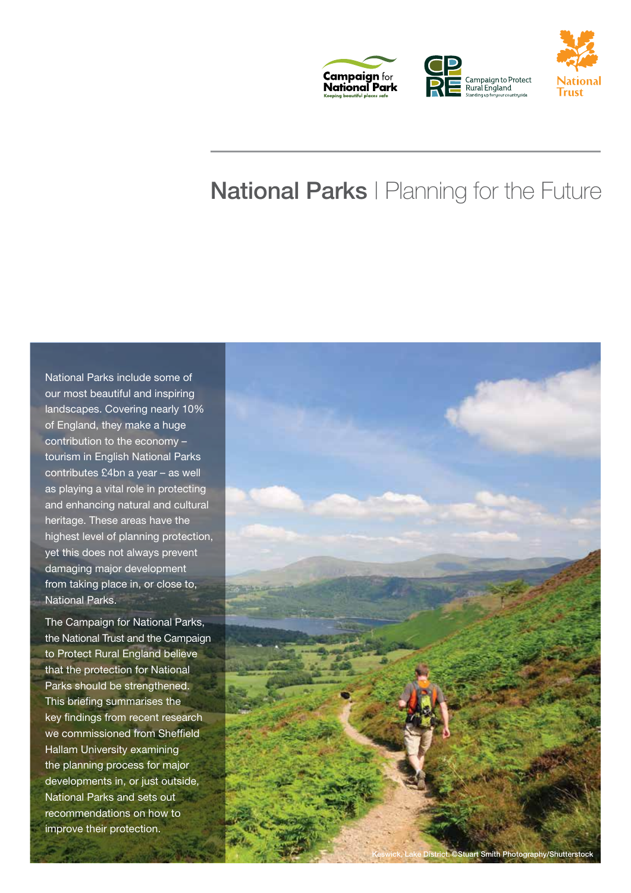

# National Parks | Planning for the Future

National Parks include some of our most beautiful and inspiring landscapes. Covering nearly 10% of England, they make a huge contribution to the economy – tourism in English National Parks contributes £4bn a year – as well as playing a vital role in protecting and enhancing natural and cultural heritage. These areas have the highest level of planning protection, yet this does not always prevent damaging major development from taking place in, or close to, National Parks.

The Campaign for National Parks, the National Trust and the Campaign to Protect Rural England believe that the protection for National Parks should be strengthened. This briefing summarises the key findings from recent research we commissioned from Sheffield Hallam University examining the planning process for major developments in, or just outside, National Parks and sets out recommendations on how to improve their protection.

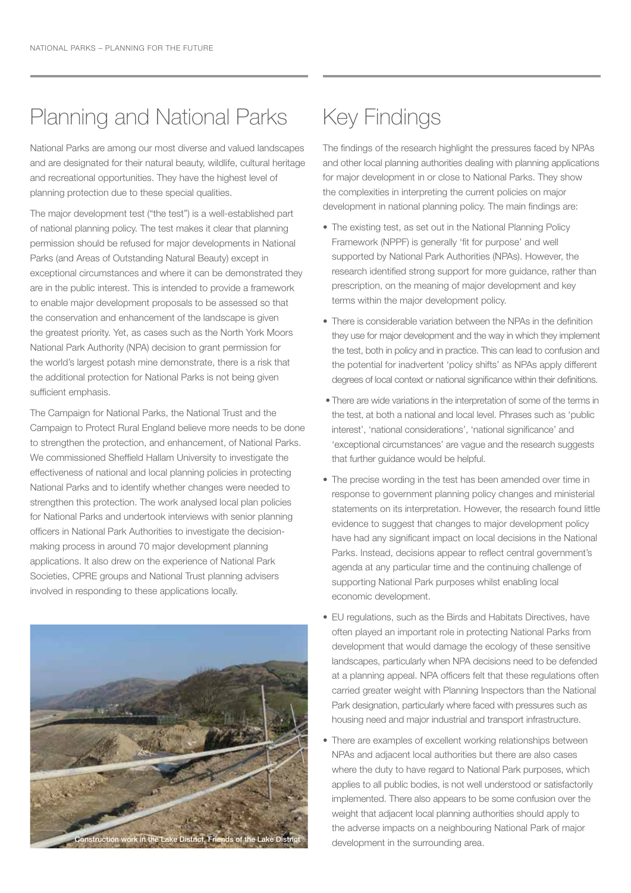### Planning and National Parks

National Parks are among our most diverse and valued landscapes and are designated for their natural beauty, wildlife, cultural heritage and recreational opportunities. They have the highest level of planning protection due to these special qualities.

The major development test ("the test") is a well-established part of national planning policy. The test makes it clear that planning permission should be refused for major developments in National Parks (and Areas of Outstanding Natural Beauty) except in exceptional circumstances and where it can be demonstrated they are in the public interest. This is intended to provide a framework to enable major development proposals to be assessed so that the conservation and enhancement of the landscape is given the greatest priority. Yet, as cases such as the North York Moors National Park Authority (NPA) decision to grant permission for the world's largest potash mine demonstrate, there is a risk that the additional protection for National Parks is not being given sufficient emphasis.

The Campaign for National Parks, the National Trust and the Campaign to Protect Rural England believe more needs to be done to strengthen the protection, and enhancement, of National Parks. We commissioned Sheffield Hallam University to investigate the effectiveness of national and local planning policies in protecting National Parks and to identify whether changes were needed to strengthen this protection. The work analysed local plan policies for National Parks and undertook interviews with senior planning officers in National Park Authorities to investigate the decisionmaking process in around 70 major development planning applications. It also drew on the experience of National Park Societies, CPRE groups and National Trust planning advisers involved in responding to these applications locally.



# Key Findings

The findings of the research highlight the pressures faced by NPAs and other local planning authorities dealing with planning applications for major development in or close to National Parks. They show the complexities in interpreting the current policies on major development in national planning policy. The main findings are:

- The existing test, as set out in the National Planning Policy Framework (NPPF) is generally 'fit for purpose' and well supported by National Park Authorities (NPAs). However, the research identified strong support for more guidance, rather than prescription, on the meaning of major development and key terms within the major development policy.
- There is considerable variation between the NPAs in the definition they use for major development and the way in which they implement the test, both in policy and in practice. This can lead to confusion and the potential for inadvertent 'policy shifts' as NPAs apply different degrees of local context or national significance within their definitions.
- There are wide variations in the interpretation of some of the terms in the test, at both a national and local level. Phrases such as 'public interest', 'national considerations', 'national significance' and 'exceptional circumstances' are vague and the research suggests that further guidance would be helpful.
- The precise wording in the test has been amended over time in response to government planning policy changes and ministerial statements on its interpretation. However, the research found little evidence to suggest that changes to major development policy have had any significant impact on local decisions in the National Parks. Instead, decisions appear to reflect central government's agenda at any particular time and the continuing challenge of supporting National Park purposes whilst enabling local economic development.
- EU regulations, such as the Birds and Habitats Directives, have often played an important role in protecting National Parks from development that would damage the ecology of these sensitive landscapes, particularly when NPA decisions need to be defended at a planning appeal. NPA officers felt that these regulations often carried greater weight with Planning Inspectors than the National Park designation, particularly where faced with pressures such as housing need and major industrial and transport infrastructure.
- There are examples of excellent working relationships between NPAs and adjacent local authorities but there are also cases where the duty to have regard to National Park purposes, which applies to all public bodies, is not well understood or satisfactorily implemented. There also appears to be some confusion over the weight that adjacent local planning authorities should apply to the adverse impacts on a neighbouring National Park of major development in the surrounding area.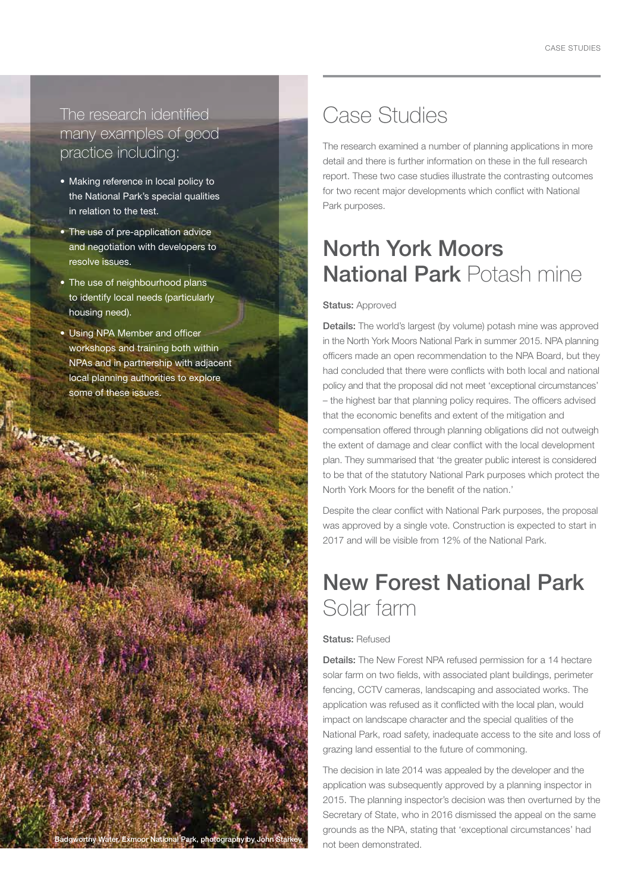#### The research identified many examples of good practice including:

- Making reference in local policy to the National Park's special qualities in relation to the test.
- The use of pre-application advice and negotiation with developers to resolve issues.
- The use of neighbourhood plans to identify local needs (particularly housing need).
- Using NPA Member and officer workshops and training both within NPAs and in partnership with adjacent local planning authorities to explore some of these issues.

Badgworthy Water, Exmoor National Park, photography by John Starkey

### Case Studies

The research examined a number of planning applications in more detail and there is further information on these in the full research report. These two case studies illustrate the contrasting outcomes for two recent major developments which conflict with National Park purposes.

## North York Moors National Park Potash mine

#### Status: Approved

Details: The world's largest (by volume) potash mine was approved in the North York Moors National Park in summer 2015. NPA planning officers made an open recommendation to the NPA Board, but they had concluded that there were conflicts with both local and national policy and that the proposal did not meet 'exceptional circumstances' – the highest bar that planning policy requires. The officers advised that the economic benefits and extent of the mitigation and compensation offered through planning obligations did not outweigh the extent of damage and clear conflict with the local development plan. They summarised that 'the greater public interest is considered to be that of the statutory National Park purposes which protect the North York Moors for the benefit of the nation.'

Despite the clear conflict with National Park purposes, the proposal was approved by a single vote. Construction is expected to start in 2017 and will be visible from 12% of the National Park.

### New Forest National Park Solar farm

#### Status: Refused

Details: The New Forest NPA refused permission for a 14 hectare solar farm on two fields, with associated plant buildings, perimeter fencing, CCTV cameras, landscaping and associated works. The application was refused as it conflicted with the local plan, would impact on landscape character and the special qualities of the National Park, road safety, inadequate access to the site and loss of grazing land essential to the future of commoning.

The decision in late 2014 was appealed by the developer and the application was subsequently approved by a planning inspector in 2015. The planning inspector's decision was then overturned by the Secretary of State, who in 2016 dismissed the appeal on the same grounds as the NPA, stating that 'exceptional circumstances' had not been demonstrated.